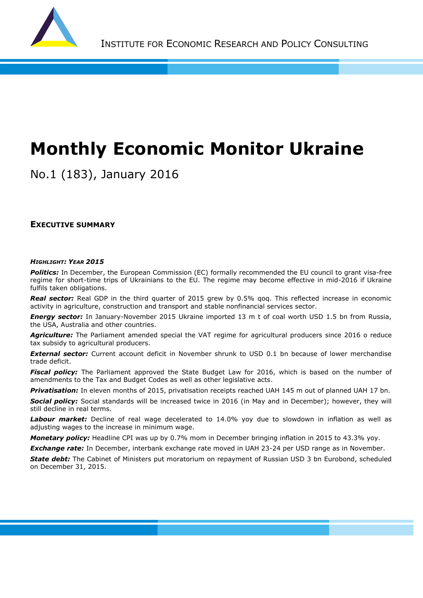

# **Monthly Economic Monitor Ukraine**

No.1 (183), January 2016

**EXECUTIVE SUMMARY**

#### *HIGHLIGHT: YEAR 2015*

**Politics:** In December, the European Commission (EC) formally recommended the EU council to grant visa-free regime for short-time trips of Ukrainians to the EU. The regime may become effective in mid-2016 if Ukraine fulfils taken obligations.

**Real sector:** Real GDP in the third quarter of 2015 grew by 0.5% qoq. This reflected increase in economic activity in agriculture, construction and transport and stable nonfinancial services sector.

*Energy sector:* In January-November 2015 Ukraine imported 13 m t of coal worth USD 1.5 bn from Russia, the USA, Australia and other countries.

Agriculture: The Parliament amended special the VAT regime for agricultural producers since 2016 o reduce tax subsidy to agricultural producers.

**External sector:** Current account deficit in November shrunk to USD 0.1 bn because of lower merchandise trade deficit.

*Fiscal policy:* The Parliament approved the State Budget Law for 2016, which is based on the number of amendments to the Tax and Budget Codes as well as other legislative acts.

*Privatisation:* In eleven months of 2015, privatisation receipts reached UAH 145 m out of planned UAH 17 bn.

*Social policy:* Social standards will be increased twice in 2016 (in May and in December); however, they will still decline in real terms.

Labour market: Decline of real wage decelerated to 14.0% yoy due to slowdown in inflation as well as adjusting wages to the increase in minimum wage.

*Monetary policy:* Headline CPI was up by 0.7% mom in December bringing inflation in 2015 to 43.3% yoy.

*Exchange rate:* In December, interbank exchange rate moved in UAH 23-24 per USD range as in November.

**State debt:** The Cabinet of Ministers put moratorium on repayment of Russian USD 3 bn Eurobond, scheduled on December 31, 2015.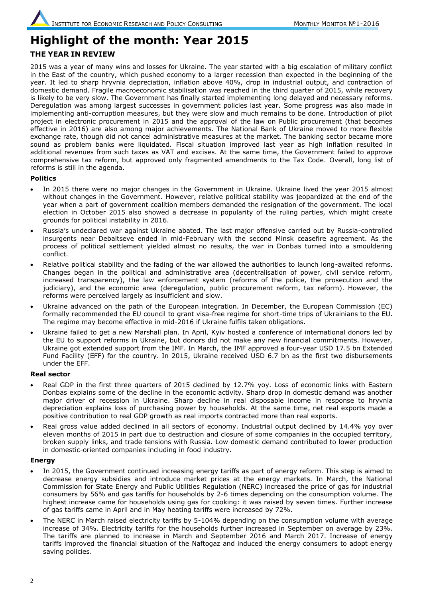# **Highlight of the month: Year 2015 THE YEAR IN REVIEW**

2015 was a year of many wins and losses for Ukraine. The year started with a big escalation of military conflict in the East of the country, which pushed economy to a larger recession than expected in the beginning of the year. It led to sharp hryvnia depreciation, inflation above 40%, drop in industrial output, and contraction of domestic demand. Fragile macroeconomic stabilisation was reached in the third quarter of 2015, while recovery is likely to be very slow. The Government has finally started implementing long delayed and necessary reforms. Deregulation was among largest successes in government policies last year. Some progress was also made in implementing anti-corruption measures, but they were slow and much remains to be done. Introduction of pilot project in electronic procurement in 2015 and the approval of the law on Public procurement (that becomes effective in 2016) are also among major achievements. The National Bank of Ukraine moved to more flexible exchange rate, though did not cancel administrative measures at the market. The banking sector became more sound as problem banks were liquidated. Fiscal situation improved last year as high inflation resulted in additional revenues from such taxes as VAT and excises. At the same time, the Government failed to approve comprehensive tax reform, but approved only fragmented amendments to the Tax Code. Overall, long list of reforms is still in the agenda.

# **Politics**

- In 2015 there were no major changes in the Government in Ukraine. Ukraine lived the year 2015 almost without changes in the Government. However, relative political stability was jeopardized at the end of the year when a part of government coalition members demanded the resignation of the government. The local election in October 2015 also showed a decrease in popularity of the ruling parties, which might create grounds for political instability in 2016.
- Russia's undeclared war against Ukraine abated. The last major offensive carried out by Russia-controlled insurgents near Debaltseve ended in mid-February with the second Minsk ceasefire agreement. As the process of political settlement yielded almost no results, the war in Donbas turned into a smouldering conflict.
- Relative political stability and the fading of the war allowed the authorities to launch long-awaited reforms. Changes began in the political and administrative area (decentralisation of power, civil service reform, increased transparency), the law enforcement system (reforms of the police, the prosecution and the judiciary), and the economic area (deregulation, public procurement reform, tax reform). However, the reforms were perceived largely as insufficient and slow.
- Ukraine advanced on the path of the European integration. In December, the European Commission (EC) formally recommended the EU council to grant visa-free regime for short-time trips of Ukrainians to the EU. The regime may become effective in mid-2016 if Ukraine fulfils taken obligations.
- Ukraine failed to get a new Marshall plan. In April, Kyiv hosted a conference of international donors led by the EU to support reforms in Ukraine, but donors did not make any new financial commitments. However, Ukraine got extended support from the IMF. In March, the IMF approved a four-year USD 17.5 bn Extended Fund Facility (EFF) for the country. In 2015, Ukraine received USD 6.7 bn as the first two disbursements under the EFF.

# **Real sector**

- Real GDP in the first three quarters of 2015 declined by 12.7% yoy. Loss of economic links with Eastern Donbas explains some of the decline in the economic activity. Sharp drop in domestic demand was another major driver of recession in Ukraine. Sharp decline in real disposable income in response to hryvnia depreciation explains loss of purchasing power by households. At the same time, net real exports made a positive contribution to real GDP growth as real imports contracted more than real exports.
- Real gross value added declined in all sectors of economy. Industrial output declined by 14.4% yoy over eleven months of 2015 in part due to destruction and closure of some companies in the occupied territory, broken supply links, and trade tensions with Russia. Low domestic demand contributed to lower production in domestic-oriented companies including in food industry.

#### **Energy**

- In 2015, the Government continued increasing energy tariffs as part of energy reform. This step is aimed to decrease energy subsidies and introduce market prices at the energy markets. In March, the National Commission for State Energy and Public Utilities Regulation (NERC) increased the price of gas for industrial consumers by 56% and gas tariffs for households by 2-6 times depending on the consumption volume. The highest increase came for households using gas for cooking: it was raised by seven times. Further increase of gas tariffs came in April and in May heating tariffs were increased by 72%.
- The NERC in March raised electricity tariffs by 5-104% depending on the consumption volume with average increase of 34%. Electricity tariffs for the households further increased in September on average by 23%. The tariffs are planned to increase in March and September 2016 and March 2017. Increase of energy tariffs improved the financial situation of the Naftogaz and induced the energy consumers to adopt energy saving policies.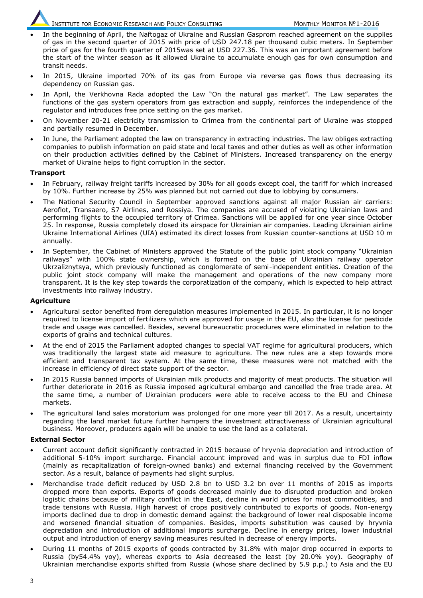- In the beginning of April, the Naftogaz of Ukraine and Russian Gasprom reached agreement on the supplies of gas in the second quarter of 2015 with price of USD 247.18 per thousand cubic meters. In September price of gas for the fourth quarter of 2015was set at USD 227.36. This was an important agreement before the start of the winter season as it allowed Ukraine to accumulate enough gas for own consumption and transit needs.
- In 2015, Ukraine imported 70% of its gas from Europe via reverse gas flows thus decreasing its dependency on Russian gas.
- In April, the Verkhovna Rada adopted the Law "On the natural gas market". The Law separates the functions of the gas system operators from gas extraction and supply, reinforces the independence of the regulator and introduces free price setting on the gas market.
- On November 20-21 electricity transmission to Crimea from the continental part of Ukraine was stopped and partially resumed in December.
- In June, the Parliament adopted the law on transparency in extracting industries. The law obliges extracting companies to publish information on paid state and local taxes and other duties as well as other information on their production activities defined by the Cabinet of Ministers. Increased transparency on the energy market of Ukraine helps to fight corruption in the sector.

#### **Transport**

- In February, railway freight tariffs increased by 30% for all goods except coal, the tariff for which increased by 10%. Further increase by 25% was planned but not carried out due to lobbying by consumers.
- The National Security Council in September approved sanctions against all major Russian air carriers: Aeroflot, Transaero, S7 Airlines, and Rossiya. The companies are accused of violating Ukrainian laws and performing flights to the occupied territory of Crimea. Sanctions will be applied for one year since October 25. In response, Russia completely closed its airspace for Ukrainian air companies. Leading Ukrainian airline Ukraine International Airlines (UIA) estimated its direct losses from Russian counter-sanctions at USD 10 m annually.
- In September, the Cabinet of Ministers approved the Statute of the public joint stock company "Ukrainian railways" with 100% state ownership, which is formed on the base of Ukrainian railway operator Ukrzaliznytsya, which previously functioned as conglomerate of semi-independent entities. Creation of the public joint stock company will make the management and operations of the new company more transparent. It is the key step towards the corporatization of the company, which is expected to help attract investments into railway industry.

#### **Agriculture**

- Agricultural sector benefited from deregulation measures implemented in 2015. In particular, it is no longer required to license import of fertilizers which are approved for usage in the EU, also the license for pesticide trade and usage was cancelled. Besides, several bureaucratic procedures were eliminated in relation to the exports of grains and technical cultures.
- At the end of 2015 the Parliament adopted changes to special VAT regime for agricultural producers, which was traditionally the largest state aid measure to agriculture. The new rules are a step towards more efficient and transparent tax system. At the same time, these measures were not matched with the increase in efficiency of direct state support of the sector.
- In 2015 Russia banned imports of Ukrainian milk products and majority of meat products. The situation will further deteriorate in 2016 as Russia imposed agricultural embargo and cancelled the free trade area. At the same time, a number of Ukrainian producers were able to receive access to the EU and Chinese markets.
- The agricultural land sales moratorium was prolonged for one more year till 2017. As a result, uncertainty regarding the land market future further hampers the investment attractiveness of Ukrainian agricultural business. Moreover, producers again will be unable to use the land as a collateral.

#### **External Sector**

- Current account deficit significantly contracted in 2015 because of hryvnia depreciation and introduction of additional 5-10% import surcharge. Financial account improved and was in surplus due to FDI inflow (mainly as recapitalization of foreign-owned banks) and external financing received by the Government sector. As a result, balance of payments had slight surplus.
- Merchandise trade deficit reduced by USD 2.8 bn to USD 3.2 bn over 11 months of 2015 as imports dropped more than exports. Exports of goods decreased mainly due to disrupted production and broken logistic chains because of military conflict in the East, decline in world prices for most commodities, and trade tensions with Russia. High harvest of crops positively contributed to exports of goods. Non-energy imports declined due to drop in domestic demand against the background of lower real disposable income and worsened financial situation of companies. Besides, imports substitution was caused by hryvnia depreciation and introduction of additional imports surcharge. Decline in energy prices, lower industrial output and introduction of energy saving measures resulted in decrease of energy imports.
- During 11 months of 2015 exports of goods contracted by 31.8% with major drop occurred in exports to Russia (by54.4% yoy), whereas exports to Asia decreased the least (by 20.0% yoy). Geography of Ukrainian merchandise exports shifted from Russia (whose share declined by 5.9 p.p.) to Asia and the EU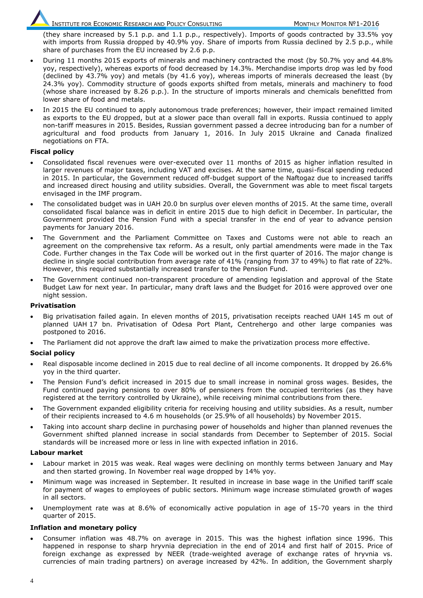(they share increased by 5.1 p.p. and 1.1 p.p., respectively). Imports of goods contracted by 33.5% yoy with imports from Russia dropped by 40.9% yoy. Share of imports from Russia declined by 2.5 p.p., while share of purchases from the EU increased by 2.6 p.p.

- During 11 months 2015 exports of minerals and machinery contracted the most (by 50.7% yoy and 44.8% yoy, respectively), whereas exports of food decreased by 14.3%. Merchandise imports drop was led by food (declined by 43.7% yoy) and metals (by 41.6 yoy), whereas imports of minerals decreased the least (by 24.3% yoy). Commodity structure of goods exports shifted from metals, minerals and machinery to food (whose share increased by 8.26 p.p.). In the structure of imports minerals and chemicals benefitted from lower share of food and metals.
- In 2015 the EU continued to apply autonomous trade preferences; however, their impact remained limited as exports to the EU dropped, but at a slower pace than overall fall in exports. Russia continued to apply non-tariff measures in 2015. Besides, Russian government passed a decree introducing ban for a number of agricultural and food products from January 1, 2016. In July 2015 Ukraine and Canada finalized negotiations on FTA.

#### **Fiscal policy**

- Consolidated fiscal revenues were over-executed over 11 months of 2015 as higher inflation resulted in larger revenues of major taxes, including VAT and excises. At the same time, quasi-fiscal spending reduced in 2015. In particular, the Government reduced off-budget support of the Naftogaz due to increased tariffs and increased direct housing and utility subsidies. Overall, the Government was able to meet fiscal targets envisaged in the IMF program.
- The consolidated budget was in UAH 20.0 bn surplus over eleven months of 2015. At the same time, overall consolidated fiscal balance was in deficit in entire 2015 due to high deficit in December. In particular, the Government provided the Pension Fund with a special transfer in the end of year to advance pension payments for January 2016.
- The Government and the Parliament Committee on Taxes and Customs were not able to reach an agreement on the comprehensive tax reform. As a result, only partial amendments were made in the Tax Code. Further changes in the Tax Code will be worked out in the first quarter of 2016. The major change is decline in single social contribution from average rate of 41% (ranging from 37 to 49%) to flat rate of 22%. However, this required substantially increased transfer to the Pension Fund.
- The Government continued non-transparent procedure of amending legislation and approval of the State Budget Law for next year. In particular, many draft laws and the Budget for 2016 were approved over one night session.

#### **Privatisation**

- Big privatisation failed again. In eleven months of 2015, privatisation receipts reached UAH 145 m out of planned UAH 17 bn. Privatisation of Odesa Port Plant, Centrehergo and other large companies was postponed to 2016.
- The Parliament did not approve the draft law aimed to make the privatization process more effective.

# **Social policy**

- Real disposable income declined in 2015 due to real decline of all income components. It dropped by 26.6% yoy in the third quarter.
- The Pension Fund's deficit increased in 2015 due to small increase in nominal gross wages. Besides, the Fund continued paying pensions to over 80% of pensioners from the occupied territories (as they have registered at the territory controlled by Ukraine), while receiving minimal contributions from there.
- The Government expanded eligibility criteria for receiving housing and utility subsidies. As a result, number of their recipients increased to 4.6 m households (or 25.9% of all households) by November 2015.
- Taking into account sharp decline in purchasing power of households and higher than planned revenues the Government shifted planned increase in social standards from December to September of 2015. Social standards will be increased more or less in line with expected inflation in 2016.

#### **Labour market**

- Labour market in 2015 was weak. Real wages were declining on monthly terms between January and May and then started growing. In November real wage dropped by 14% yoy.
- Minimum wage was increased in September. It resulted in increase in base wage in the Unified tariff scale for payment of wages to employees of public sectors. Minimum wage increase stimulated growth of wages in all sectors.
- Unemployment rate was at 8.6% of economically active population in age of 15-70 years in the third quarter of 2015.

#### **Inflation and monetary policy**

 Consumer inflation was 48.7% on average in 2015. This was the highest inflation since 1996. This happened in response to sharp hryvnia depreciation in the end of 2014 and first half of 2015. Price of foreign exchange as expressed by NEER (trade-weighted average of exchange rates of hryvnia vs. currencies of main trading partners) on average increased by 42%. In addition, the Government sharply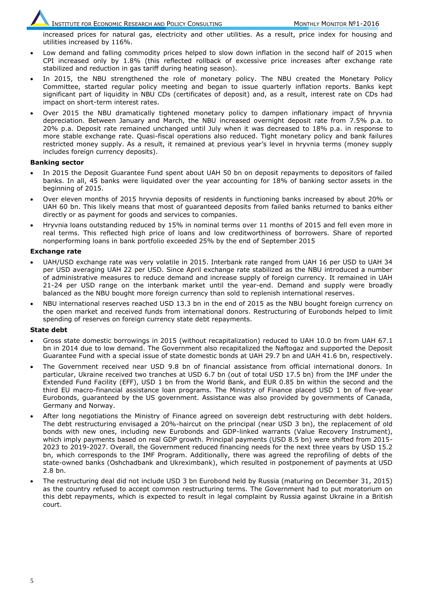increased prices for natural gas, electricity and other utilities. As a result, price index for housing and utilities increased by 116%.

- Low demand and falling commodity prices helped to slow down inflation in the second half of 2015 when CPI increased only by 1.8% (this reflected rollback of excessive price increases after exchange rate stabilized and reduction in gas tariff during heating season).
- In 2015, the NBU strengthened the role of monetary policy. The NBU created the Monetary Policy Committee, started regular policy meeting and began to issue quarterly inflation reports. Banks kept significant part of liquidity in NBU CDs (certificates of deposit) and, as a result, interest rate on CDs had impact on short-term interest rates.
- Over 2015 the NBU dramatically tightened monetary policy to dampen inflationary impact of hryvnia depreciation. Between January and March, the NBU increased overnight deposit rate from 7.5% p.a. to 20% p.a. Deposit rate remained unchanged until July when it was decreased to 18% p.a. in response to more stable exchange rate. Quasi-fiscal operations also reduced. Tight monetary policy and bank failures restricted money supply. As a result, it remained at previous year's level in hryvnia terms (money supply includes foreign currency deposits).

#### **Banking sector**

- In 2015 the Deposit Guarantee Fund spent about UAH 50 bn on deposit repayments to depositors of failed banks. In all, 45 banks were liquidated over the year accounting for 18% of banking sector assets in the beginning of 2015.
- Over eleven months of 2015 hryvnia deposits of residents in functioning banks increased by about 20% or UAH 60 bn. This likely means that most of guaranteed deposits from failed banks returned to banks either directly or as payment for goods and services to companies.
- Hryvnia loans outstanding reduced by 15% in nominal terms over 11 months of 2015 and fell even more in real terms. This reflected high price of loans and low creditworthiness of borrowers. Share of reported nonperforming loans in bank portfolio exceeded 25% by the end of September 2015

#### **Exchange rate**

- UAH/USD exchange rate was very volatile in 2015. Interbank rate ranged from UAH 16 per USD to UAH 34 per USD averaging UAH 22 per USD. Since April exchange rate stabilized as the NBU introduced a number of administrative measures to reduce demand and increase supply of foreign currency. It remained in UAH 21-24 per USD range on the interbank market until the year-end. Demand and supply were broadly balanced as the NBU bought more foreign currency than sold to replenish international reserves.
- NBU international reserves reached USD 13.3 bn in the end of 2015 as the NBU bought foreign currency on the open market and received funds from international donors. Restructuring of Eurobonds helped to limit spending of reserves on foreign currency state debt repayments.

#### **State debt**

- Gross state domestic borrowings in 2015 (without recapitalization) reduced to UAH 10.0 bn from UAH 67.1 bn in 2014 due to low demand. The Government also recapitalized the Naftogaz and supported the Deposit Guarantee Fund with a special issue of state domestic bonds at UAH 29.7 bn and UAH 41.6 bn, respectively.
- The Government received near USD 9.8 bn of financial assistance from official international donors. In particular, Ukraine received two tranches at USD 6.7 bn (out of total USD 17.5 bn) from the IMF under the Extended Fund Facility (EFF), USD 1 bn from the World Bank, and EUR 0.85 bn within the second and the third EU macro-financial assistance loan programs. The Ministry of Finance placed USD 1 bn of five-year Eurobonds, guaranteed by the US government. Assistance was also provided by governments of Canada, Germany and Norway.
- After long negotiations the Ministry of Finance agreed on sovereign debt restructuring with debt holders. The debt restructuring envisaged a 20%-haircut on the principal (near USD 3 bn), the replacement of old bonds with new ones, including new Eurobonds and GDP-linked warrants (Value Recovery Instrument), which imply payments based on real GDP growth. Principal payments (USD 8.5 bn) were shifted from 2015-2023 to 2019-2027. Overall, the Government reduced financing needs for the next three years by USD 15.2 bn, which corresponds to the IMF Program. Additionally, there was agreed the reprofiling of debts of the state-owned banks (Oshchadbank and Ukreximbank), which resulted in postponement of payments at USD 2.8 bn.
- The restructuring deal did not include USD 3 bn Eurobond held by Russia (maturing on December 31, 2015) as the country refused to accept common restructuring terms. The Government had to put moratorium on this debt repayments, which is expected to result in legal complaint by Russia against Ukraine in a British court.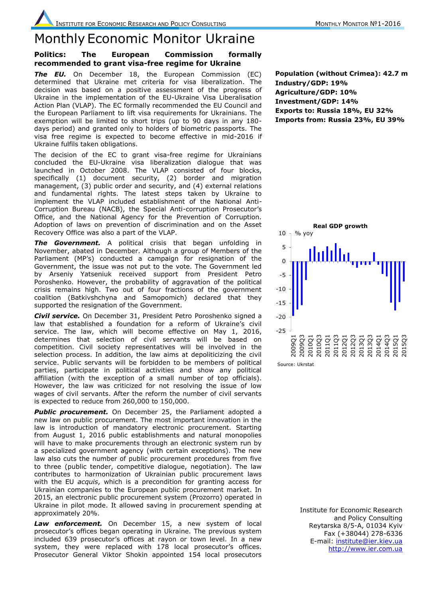# Monthly Economic Monitor Ukraine

### **Politics: The European Commission formally recommended to grant visa-free regime for Ukraine**

**The EU.** On December 18, the European Commission (EC) determined that Ukraine met criteria for visa liberalization. The decision was based on a positive assessment of the progress of Ukraine in the implementation of the EU-Ukraine Visa Liberalisation Action Plan (VLAP). The EC formally recommended the EU Council and the European Parliament to lift visa requirements for Ukrainians. The exemption will be limited to short trips (up to 90 days in any 180 days period) and granted only to holders of biometric passports. The visa free regime is expected to become effective in mid-2016 if Ukraine fulfils taken obligations.

The decision of the EC to grant visa-free regime for Ukrainians concluded the EU-Ukraine visa liberalization dialogue that was launched in October 2008. The VLAP consisted of four blocks, specifically (1) document security, (2) border and migration management, (3) public order and security, and (4) external relations and fundamental rights. The latest steps taken by Ukraine to implement the VLAP included establishment of the National Anti-Corruption Bureau (NACB), the Special Anti-corruption Prosecutor's Office, and the National Agency for the Prevention of Corruption. Adoption of laws on prevention of discrimination and on the Asset Recovery Office was also a part of the VLAP.

*The Government.* A political crisis that began unfolding in November, abated in December. Although a group of Members of the Parliament (MP's) conducted a campaign for resignation of the Government, the issue was not put to the vote. The Government led by Arseniy Yatseniuk received support from President Petro Poroshenko. However, the probability of aggravation of the political crisis remains high. Two out of four fractions of the government coalition (Batkivshchyna and Samopomich) declared that they supported the resignation of the Government.

*Civil service.* On December 31, President Petro Poroshenko signed a law that established a foundation for a reform of Ukraine's civil service. The law, which will become effective on May 1, 2016, determines that selection of civil servants will be based on competition. Civil society representatives will be involved in the selection process. In addition, the law aims at depoliticizing the civil service. Public servants will be forbidden to be members of political parties, participate in political activities and show any political affiliation (with the exception of a small number of top officials). However, the law was criticized for not resolving the issue of low wages of civil servants. After the reform the number of civil servants is expected to reduce from 260,000 to 150,000.

**Public procurement.** On December 25, the Parliament adopted a new law on public procurement. The most important innovation in the law is introduction of mandatory electronic procurement. Starting from August 1, 2016 public establishments and natural monopolies will have to make procurements through an electronic system run by a specialized government agency (with certain exceptions). The new law also cuts the number of public procurement procedures from five to three (public tender, competitive dialogue, negotiation). The law contributes to harmonization of Ukrainian public procurement laws with the EU *acquis*, which is a precondition for granting access for Ukrainian companies to the European public procurement market. In 2015, an electronic public procurement system (Prozorro) operated in Ukraine in pilot mode. It allowed saving in procurement spending at approximately 20%.

*Law enforcement.* On December 15, a new system of local prosecutor's offices began operating in Ukraine. The previous system included 639 prosecutor's offices at rayon or town level. In a new system, they were replaced with 178 local prosecutor's offices. Prosecutor General Viktor Shokin appointed 154 local prosecutors

**Population (without Crimea): 42.7 m Industry/GDP: 19% Agriculture/GDP: 10% Investment/GDP: 14% Exports to: Russia 18%, EU 32% Imports from: Russia 23%, EU 39%**



Source: Ukrstat

Institute for Economic Research and Policy Consulting Reytarska 8/5-A, 01034 Kyiv Fax (+38044) 278-6336 E-mail: [institute@ier.kiev.ua](mailto:institute@ier.kiev.ua) [http://www.ier.com.ua](http://www.ier.com.ua/)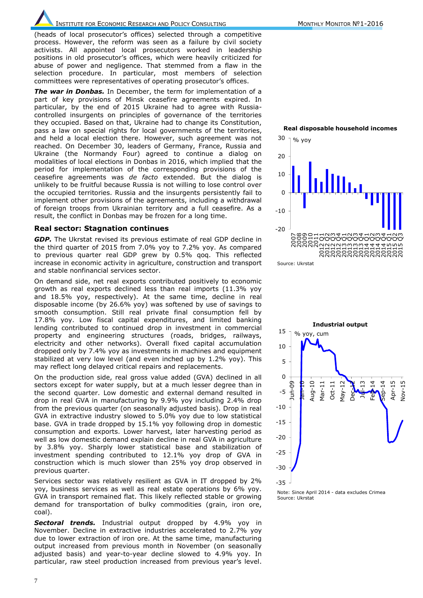(heads of local prosecutor's offices) selected through a competitive process. However, the reform was seen as a failure by civil society activists. All appointed local prosecutors worked in leadership positions in old prosecutor's offices, which were heavily criticized for abuse of power and negligence. That stemmed from a flaw in the selection procedure. In particular, most members of selection committees were representatives of operating prosecutor's offices.

*The war in Donbas.* In December, the term for implementation of a part of key provisions of Minsk ceasefire agreements expired. In particular, by the end of 2015 Ukraine had to agree with Russiacontrolled insurgents on principles of governance of the territories they occupied. Based on that, Ukraine had to change its Constitution, pass a law on special rights for local governments of the territories, and held a local election there. However, such agreement was not reached. On December 30, leaders of Germany, France, Russia and Ukraine (the Normandy Four) agreed to continue a dialog on modalities of local elections in Donbas in 2016, which implied that the period for implementation of the corresponding provisions of the ceasefire agreements was *de facto* extended. But the dialog is unlikely to be fruitful because Russia is not willing to lose control over the occupied territories. Russia and the insurgents persistently fail to implement other provisions of the agreements, including a withdrawal of foreign troops from Ukrainian territory and a full ceasefire. As a result, the conflict in Donbas may be frozen for a long time.

#### **Real sector: Stagnation continues**

*GDP.* The Ukrstat revised its previous estimate of real GDP decline in the third quarter of 2015 from 7.0% yoy to 7.2% yoy. As compared to previous quarter real GDP grew by 0.5% qoq. This reflected increase in economic activity in agriculture, construction and transport and stable nonfinancial services sector.

On demand side, net real exports contributed positively to economic growth as real exports declined less than real imports (11.3% yoy and 18.5% yoy, respectively). At the same time, decline in real disposable income (by 26.6% yoy) was softened by use of savings to smooth consumption. Still real private final consumption fell by 17.8% yoy. Low fiscal capital expenditures, and limited banking lending contributed to continued drop in investment in commercial property and engineering structures (roads, bridges, railways, electricity and other networks). Overall fixed capital accumulation dropped only by 7.4% yoy as investments in machines and equipment stabilized at very low level (and even inched up by 1.2% yoy). This may reflect long delayed critical repairs and replacements.

On the production side, real gross value added (GVA) declined in all sectors except for water supply, but at a much lesser degree than in the second quarter. Low domestic and external demand resulted in drop in real GVA in manufacturing by 9.9% yoy including 2.4% drop from the previous quarter (on seasonally adjusted basis). Drop in real GVA in extractive industry slowed to 5.0% yoy due to low statistical base. GVA in trade dropped by 15.1% yoy following drop in domestic consumption and exports. Lower harvest, later harvesting period as well as low domestic demand explain decline in real GVA in agriculture by 3.8% yoy. Sharply lower statistical base and stabilization of investment spending contributed to 12.1% yoy drop of GVA in construction which is much slower than 25% yoy drop observed in previous quarter.

Services sector was relatively resilient as GVA in IT dropped by 2% yoy, business services as well as real estate operations by 6% yoy. GVA in transport remained flat. This likely reflected stable or growing demand for transportation of bulky commodities (grain, iron ore, coal).

*Sectoral trends.* Industrial output dropped by 4.9% yoy in November. Decline in extractive industries accelerated to 2.7% yoy due to lower extraction of iron ore. At the same time, manufacturing output increased from previous month in November (on seasonally adjusted basis) and year-to-year decline slowed to 4.9% yoy. In particular, raw steel production increased from previous year's level.



**Real disposable household incomes**





Note: Since April 2014 - data excludes Crimea Source: Ukrstat

7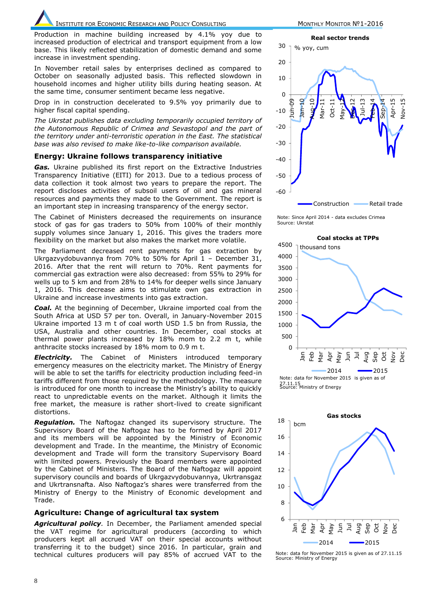Production in machine building increased by 4.1% yoy due to increased production of electrical and transport equipment from a low base. This likely reflected stabilization of domestic demand and some increase in investment spending.

In November retail sales by enterprises declined as compared to October on seasonally adjusted basis. This reflected slowdown in household incomes and higher utility bills during heating season. At the same time, consumer sentiment became less negative.

Drop in in construction decelerated to 9.5% yoy primarily due to higher fiscal capital spending.

*The Ukrstat publishes data excluding temporarily occupied territory of the Autonomous Republic of Crimea and Sevastopol and the part of the territory under anti-terroristic operation in the East. The statistical base was also revised to make like-to-like comparison available.* 

#### **Energy: Ukraine follows transparency initiative**

*Gas.* Ukraine published its first report on the Extractive Industries Transparency Initiative (EITI) for 2013. Due to a tedious process of data collection it took almost two years to prepare the report. The report discloses activities of subsoil users of oil and gas mineral resources and payments they made to the Government. The report is an important step in increasing transparency of the energy sector.

The Cabinet of Ministers decreased the requirements on insurance stock of gas for gas traders to 50% from 100% of their monthly supply volumes since January 1, 2016. This gives the traders more flexibility on the market but also makes the market more volatile.

The Parliament decreased rent payments for gas extraction by Ukrgazvydobuvannya from 70% to 50% for April 1 – December 31, 2016. After that the rent will return to 70%. Rent payments for commercial gas extraction were also decreased: from 55% to 29% for wells up to 5 km and from 28% to 14% for deeper wells since January 1, 2016. This decrease aims to stimulate own gas extraction in Ukraine and increase investments into gas extraction.

*Coal.* At the beginning of December, Ukraine imported coal from the South Africa at USD 57 per ton. Overall, in January-November 2015 Ukraine imported 13 m t of coal worth USD 1.5 bn from Russia, the USA, Australia and other countries. In December, coal stocks at thermal power plants increased by 18% mom to 2.2 m t, while anthracite stocks increased by 18% mom to 0.9 m t.

**Electricity.** The Cabinet of Ministers introduced temporary emergency measures on the electricity market. The Ministry of Energy will be able to set the tariffs for electricity production including feed-in tariffs different from those required by the methodology. The measure is introduced for one month to increase the Ministry's ability to quickly react to unpredictable events on the market. Although it limits the free market, the measure is rather short-lived to create significant distortions.

*Regulation.* The Naftogaz changed its supervisory structure. The Supervisory Board of the Naftogaz has to be formed by April 2017 and its members will be appointed by the Ministry of Economic development and Trade. In the meantime, the Ministry of Economic development and Trade will form the transitory Supervisory Board with limited powers. Previously the Board members were appointed by the Cabinet of Ministers. The Board of the Naftogaz will appoint supervisory councils and boards of Ukrgazvydobuvannya, Ukrtransgaz and Ukrtransnafta. Also Naftogaz's shares were transferred from the Ministry of Energy to the Ministry of Economic development and Trade.

#### **Agriculture: Change of agricultural tax system**

*Agricultural policy.* In December, the Parliament amended special the VAT regime for agricultural producers (according to which producers kept all accrued VAT on their special accounts without transferring it to the budget) since 2016. In particular, grain and technical cultures producers will pay 85% of accrued VAT to the



Note: Since April 2014 - data excludes Crimea Source: Ukrstat



27.11.15<br>Source: Ministry of Energy



Source: Ministry of Energy Note: data for November 2015 is given as of 27.11.15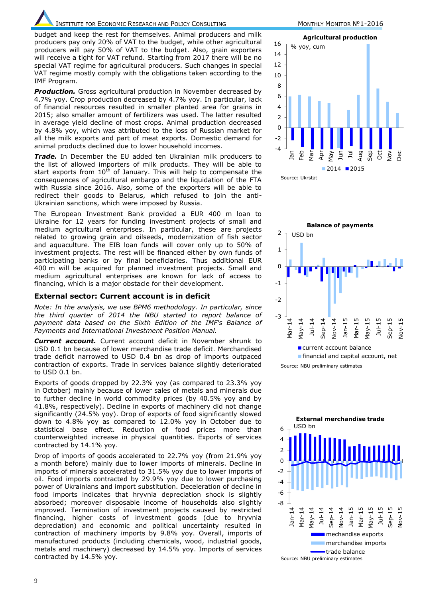budget and keep the rest for themselves. Animal producers and milk producers pay only 20% of VAT to the budget, while other agricultural producers will pay 50% of VAT to the budget. Also, grain exporters will receive a tight for VAT refund. Starting from 2017 there will be no special VAT regime for agricultural producers. Such changes in special VAT regime mostly comply with the obligations taken according to the IMF Program.

**Production.** Gross agricultural production in November decreased by 4.7% yoy. Crop production decreased by 4.7% yoy. In particular, lack of financial resources resulted in smaller planted area for grains in 2015; also smaller amount of fertilizers was used. The latter resulted in average yield decline of most crops. Animal production decreased by 4.8% yoy, which was attributed to the loss of Russian market for all the milk exports and part of meat exports. Domestic demand for animal products declined due to lower household incomes.

*Trade.* In December the EU added ten Ukrainian milk producers to the list of allowed importers of milk products. They will be able to start exports from  $10^{th}$  of January. This will help to compensate the consequences of agricultural embargo and the liquidation of the FTA with Russia since 2016. Also, some of the exporters will be able to redirect their goods to Belarus, which refused to join the anti-Ukrainian sanctions, which were imposed by Russia.

The European Investment Bank provided a EUR 400 m loan to Ukraine for 12 years for funding investment projects of small and medium agricultural enterprises. In particular, these are projects related to growing grain and oilseeds, modernization of fish sector and aquaculture. The EIB loan funds will cover only up to 50% of investment projects. The rest will be financed either by own funds of participating banks or by final beneficiaries. Thus additional EUR 400 m will be acquired for planned investment projects. Small and medium agricultural enterprises are known for lack of access to financing, which is a major obstacle for their development.

#### **External sector: Current account is in deficit**

*Note: In the analysis, we use BPM6 methodology. In particular, since the third quarter of 2014 the NBU started to report balance of payment data based on the Sixth Edition of the IMF's Balance of Payments and International Investment Position Manual.* 

*Current account.* Current account deficit in November shrunk to USD 0.1 bn because of lower merchandise trade deficit. Merchandised trade deficit narrowed to USD 0.4 bn as drop of imports outpaced contraction of exports. Trade in services balance slightly deteriorated to USD 0.1 bn.

Exports of goods dropped by 22.3% yoy (as compared to 23.3% yoy in October) mainly because of lower sales of metals and minerals due to further decline in world commodity prices (by 40.5% yoy and by 41.8%, respectively). Decline in exports of machinery did not change significantly (24.5% yoy). Drop of exports of food significantly slowed down to 4.8% yoy as compared to 12.0% yoy in October due to statistical base effect. Reduction of food prices more than counterweighted increase in physical quantities. Exports of services contracted by 14.1% yoy.

Drop of imports of goods accelerated to 22.7% yoy (from 21.9% yoy a month before) mainly due to lower imports of minerals. Decline in imports of minerals accelerated to 31.5% yoy due to lower imports of oil. Food imports contracted by 29.9% yoy due to lower purchasing power of Ukrainians and import substitution. Deceleration of decline in food imports indicates that hryvnia depreciation shock is slightly absorbed; moreover disposable income of households also slightly improved. Termination of investment projects caused by restricted financing, higher costs of investment goods (due to hryvnia depreciation) and economic and political uncertainty resulted in contraction of machinery imports by 9.8% yoy. Overall, imports of manufactured products (including chemicals, wood, industrial goods, metals and machinery) decreased by 14.5% yoy. Imports of services contracted by 14.5% yoy.





Source: NBU preliminary estimates

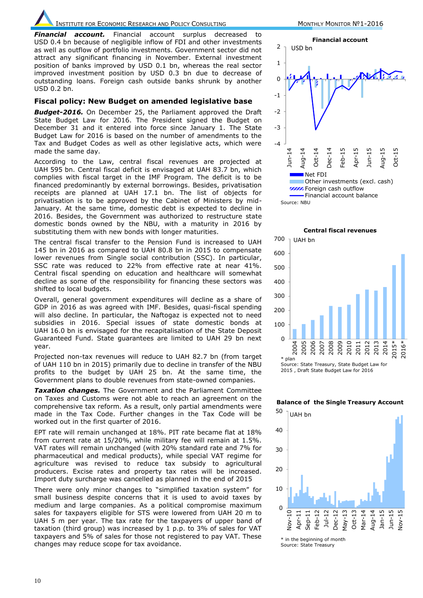*Financial account.* Financial account surplus decreased to USD 0.4 bn because of negligible inflow of FDI and other investments as well as outflow of portfolio investments. Government sector did not attract any significant financing in November. External investment position of banks improved by USD 0.1 bn, whereas the real sector improved investment position by USD 0.3 bn due to decrease of outstanding loans. Foreign cash outside banks shrunk by another USD 0.2 bn.

#### **Fiscal policy: New Budget on amended legislative base**

*Budget-2016.* On December 25, the Parliament approved the Draft State Budget Law for 2016. The President signed the Budget on December 31 and it entered into force since January 1. The State Budget Law for 2016 is based on the number of amendments to the Tax and Budget Codes as well as other legislative acts, which were made the same day.

According to the Law, central fiscal revenues are projected at UAH 595 bn. Central fiscal deficit is envisaged at UAH 83.7 bn, which complies with fiscal target in the IMF Program. The deficit is to be financed predominantly by external borrowings. Besides, privatisation receipts are planned at UAH 17.1 bn. The list of objects for privatisation is to be approved by the Cabinet of Ministers by mid-January. At the same time, domestic debt is expected to decline in 2016. Besides, the Government was authorized to restructure state domestic bonds owned by the NBU, with a maturity in 2016 by substituting them with new bonds with longer maturities.

The central fiscal transfer to the Pension Fund is increased to UAH 145 bn in 2016 as compared to UAH 80.8 bn in 2015 to compensate lower revenues from Single social contribution (SSC). In particular, SSC rate was reduced to 22% from effective rate at near 41%. Central fiscal spending on education and healthcare will somewhat decline as some of the responsibility for financing these sectors was shifted to local budgets.

Overall, general government expenditures will decline as a share of GDP in 2016 as was agreed with IMF. Besides, quasi-fiscal spending will also decline. In particular, the Naftogaz is expected not to need subsidies in 2016. Special issues of state domestic bonds at UAH 16.0 bn is envisaged for the recapitalisation of the State Deposit Guaranteed Fund. State guarantees are limited to UAH 29 bn next year.

Projected non-tax revenues will reduce to UAH 82.7 bn (from target of UAH 110 bn in 2015) primarily due to decline in transfer of the NBU profits to the budget by UAH 25 bn. At the same time, the Government plans to double revenues from state-owned companies.

*Taxation changes.* The Government and the Parliament Committee on Taxes and Customs were not able to reach an agreement on the comprehensive tax reform. As a result, only partial amendments were made in the Tax Code. Further changes in the Tax Code will be worked out in the first quarter of 2016.

EPT rate will remain unchanged at 18%. PIT rate became flat at 18% from current rate at 15/20%, while military fee will remain at 1.5%. VAT rates will remain unchanged (with 20% standard rate and 7% for pharmaceutical and medical products), while special VAT regime for agriculture was revised to reduce tax subsidy to agricultural producers. Excise rates and property tax rates will be increased. Import duty surcharge was cancelled as planned in the end of 2015

There were only minor changes to "simplified taxation system" for small business despite concerns that it is used to avoid taxes by medium and large companies. As a political compromise maximum sales for taxpayers eligible for STS were lowered from UAH 20 m to UAH 5 m per year. The tax rate for the taxpayers of upper band of taxation (third group) was increased by 1 p.p. to 3% of sales for VAT taxpayers and 5% of sales for those not registered to pay VAT. These changes may reduce scope for tax avoidance.



Source: NBU

 $\Omega$ 100 200 300 400 500 600 700 2004 2005 2006 2007 2008 2009 2010 2011 2012 2013 2014 2015\* 2016\* \* plan Source: State Treasury, State Budget Law for 2015 , Draft State Budget Law for 2016 UAH bn

**Central fiscal revenues**





\* in the beginning of month Source: State Treasury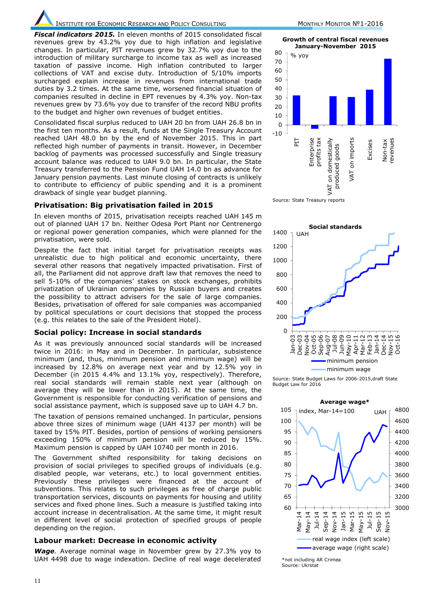*Fiscal indicators 2015.* In eleven months of 2015 consolidated fiscal revenues grew by 43.2% yoy due to high inflation and legislative changes. In particular, PIT revenues grew by 32.7% yoy due to the introduction of military surcharge to income tax as well as increased taxation of passive income. High inflation contributed to larger collections of VAT and excise duty. Introduction of 5/10% imports surcharged explain increase in revenues from international trade duties by 3.2 times. At the same time, worsened financial situation of companies resulted in decline in EPT revenues by 4.3% yoy. Non-tax revenues grew by 73.6% yoy due to transfer of the record NBU profits to the budget and higher own revenues of budget entities.

Consolidated fiscal surplus reduced to UAH 20 bn from UAH 26.8 bn in the first ten months. As a result, funds at the Single Treasury Account reached UAH 48.0 bn by the end of November 2015. This in part reflected high number of payments in transit. However, in December backlog of payments was processed successfully and Single treasury account balance was reduced to UAH 9.0 bn. In particular, the State Treasury transferred to the Pension Fund UAH 14.0 bn as advance for January pension payments. Last minute closing of contracts is unlikely to contribute to efficiency of public spending and it is a prominent drawback of single year budget planning.

#### **Privatisation: Big privatisation failed in 2015**

In eleven months of 2015, privatisation receipts reached UAH 145 m out of planned UAH 17 bn. Neither Odesa Port Plant nor Centrenergo or regional power generation companies, which were planned for the privatisation, were sold.

Despite the fact that initial target for privatisation receipts was unrealistic due to high political and economic uncertainty, there several other reasons that negatively impacted privatisation. First of all, the Parliament did not approve draft law that removes the need to sell 5-10% of the companies' stakes on stock exchanges, prohibits privatization of Ukrainian companies by Russian buyers and creates the possibility to attract advisers for the sale of large companies. Besides, privatisation of offered for sale companies was accompanied by political speculations or court decisions that stopped the process (e.g. this relates to the sale of the President Hotel).

#### **Social policy: Increase in social standards**

As it was previously announced social standards will be increased twice in 2016: in May and in December. In particular, subsistence minimum (and, thus, minimum pension and minimum wage) will be increased by 12.8% on average next year and by 12.5% yoy in December (in 2015 4.4% and 13.1% yoy, respectively). Therefore, real social standards will remain stable next year (although on average they will be lower than in 2015). At the same time, the Government is responsible for conducting verification of pensions and social assistance payment, which is supposed save up to UAH 4.7 bn.

The taxation of pensions remained unchanged. In particular, pensions above three sizes of minimum wage (UAH 4137 per month) will be taxed by 15% PIT. Besides, portion of pensions of working pensioners exceeding 150% of minimum pension will be reduced by 15%. Maximum pension is capped by UAH 10740 per month in 2016.

The Government shifted responsibility for taking decisions on provision of social privileges to specified groups of individuals (e.g. disabled people, war veterans, etc.) to local government entities. Previously these privileges were financed at the account of subventions. This relates to such privileges as free of charge public transportation services, discounts on payments for housing and utility services and fixed phone lines. Such a measure is justified taking into account increase in decentralisation. At the same time, it might result in different level of social protection of specified groups of people depending on the region.

#### **Labour market: Decrease in economic activity**

*Wage.* Average nominal wage in November grew by 27.3% yoy to UAH 4498 due to wage indexation. Decline of real wage decelerated

**Growth of central fiscal revenues January-November 2015**



Source: State Treasury reports



Source: State Budget Laws for 2006-2015,draft State Budget Law for 2016



Source: Ukrstat Source: Ukrstat\*not including AR Crimea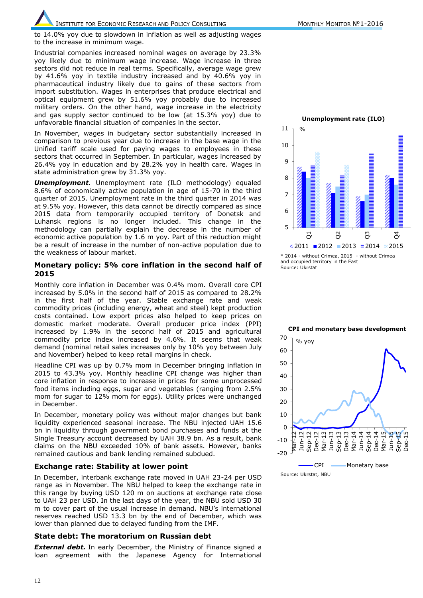to 14.0% yoy due to slowdown in inflation as well as adjusting wages to the increase in minimum wage.

Industrial companies increased nominal wages on average by 23.3% yoy likely due to minimum wage increase. Wage increase in three sectors did not reduce in real terms. Specifically, average wage grew by 41.6% yoy in textile industry increased and by 40.6% yoy in pharmaceutical industry likely due to gains of these sectors from import substitution. Wages in enterprises that produce electrical and optical equipment grew by 51.6% yoy probably due to increased military orders. On the other hand, wage increase in the electricity and gas supply sector continued to be low (at 15.3% yoy) due to unfavorable financial situation of companies in the sector.

In November, wages in budgetary sector substantially increased in comparison to previous year due to increase in the base wage in the Unified tariff scale used for paying wages to employees in these sectors that occurred in September. In particular, wages increased by 26.4% yoy in education and by 28.2% yoy in health care. Wages in state administration grew by 31.3% yoy.

*Unemployment.* Unemployment rate (ILO methodology) equaled 8.6% of economically active population in age of 15-70 in the third quarter of 2015. Unemployment rate in the third quarter in 2014 was at 9.5% yoy. However, this data cannot be directly compared as since 2015 data from temporarily occupied territory of Donetsk and Luhansk regions is no longer included. This change in the methodology can partially explain the decrease in the number of economic active population by 1.6 m yoy. Part of this reduction might be a result of increase in the number of non-active population due to the weakness of labour market.

#### **Monetary policy: 5% core inflation in the second half of 2015**

Monthly core inflation in December was 0.4% mom. Overall core CPI increased by 5.0% in the second half of 2015 as compared to 28.2% in the first half of the year. Stable exchange rate and weak commodity prices (including energy, wheat and steel) kept production costs contained. Low export prices also helped to keep prices on domestic market moderate. Overall producer price index (PPI) increased by 1.9% in the second half of 2015 and agricultural commodity price index increased by 4.6%. It seems that weak demand (nominal retail sales increases only by 10% yoy between July and November) helped to keep retail margins in check.

Headline CPI was up by 0.7% mom in December bringing inflation in 2015 to 43.3% yoy. Monthly headline CPI change was higher than core inflation in response to increase in prices for some unprocessed food items including eggs, sugar and vegetables (ranging from 2.5% mom for sugar to 12% mom for eggs). Utility prices were unchanged in December.

In December, monetary policy was without major changes but bank liquidity experienced seasonal increase. The NBU injected UAH 15.6 bn in liquidity through government bond purchases and funds at the Single Treasury account decreased by UAH 38.9 bn. As a result, bank claims on the NBU exceeded 10% of bank assets. However, banks remained cautious and bank lending remained subdued.

#### **Exchange rate: Stability at lower point**

In December, interbank exchange rate moved in UAH 23-24 per USD range as in November. The NBU helped to keep the exchange rate in this range by buying USD 120 m on auctions at exchange rate close to UAH 23 per USD. In the last days of the year, the NBU sold USD 30 m to cover part of the usual increase in demand. NBU's international reserves reached USD 13.3 bn by the end of December, which was lower than planned due to delayed funding from the IMF.

# **State debt: The moratorium on Russian debt**

**External debt.** In early December, the Ministry of Finance signed a loan agreement with the Japanese Agency for International





and occupied territory in the East

Source: Ukrstat

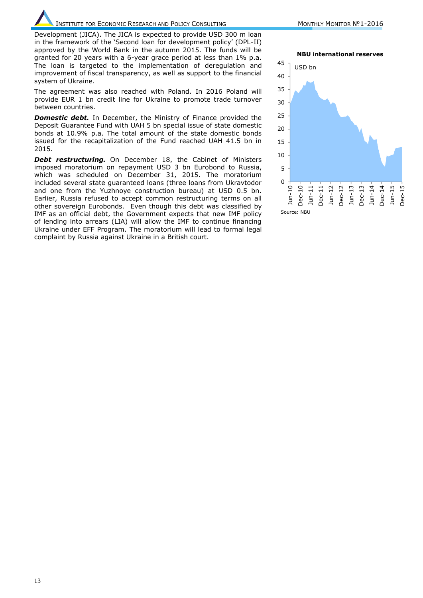Development (JICA). The JICA is expected to provide USD 300 m loan in the framework of the 'Second loan for development policy' (DPL-II) approved by the World Bank in the autumn 2015. The funds will be granted for 20 years with a 6-year grace period at less than 1% p.a. The loan is targeted to the implementation of deregulation and improvement of fiscal transparency, as well as support to the financial system of Ukraine.

The agreement was also reached with Poland. In 2016 Poland will provide EUR 1 bn credit line for Ukraine to promote trade turnover between countries.

*Domestic debt.* In December, the Ministry of Finance provided the Deposit Guarantee Fund with UAH 5 bn special issue of state domestic bonds at 10.9% p.a. The total amount of the state domestic bonds issued for the recapitalization of the Fund reached UAH 41.5 bn in 2015.

**Debt restructuring.** On December 18, the Cabinet of Ministers imposed moratorium on repayment USD 3 bn Eurobond to Russia, which was scheduled on December 31, 2015. The moratorium included several state guaranteed loans (three loans from Ukravtodor and one from the Yuzhnoye construction bureau) at USD 0.5 bn. Earlier, Russia refused to accept common restructuring terms on all other sovereign Eurobonds. Even though this debt was classified by IMF as an official debt, the Government expects that new IMF policy of lending into arrears (LIA) will allow the IMF to continue financing Ukraine under EFF Program. The moratorium will lead to formal legal complaint by Russia against Ukraine in a British court.

**NBU international reserves**

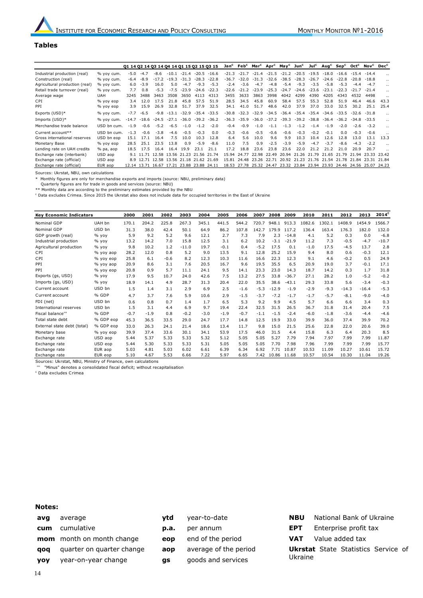#### **Tables**

|                                |             | 01 14 02 14 03 14 04 14 01 15 02 15 03 15 |                                           |               |         |         |                |                |         |         |         |             | Jan <sup>c</sup> Feb <sup>c</sup> Mar <sup>c</sup> Apr <sup>c</sup> May <sup>c</sup> Jun <sup>c</sup> Jul <sup>c</sup> |                   |         |                                           |           |         | Aug <sup>c</sup> Sep <sup>c</sup> Oct <sup>c</sup> Nov <sup>c</sup> Dec <sup>c</sup> |       |
|--------------------------------|-------------|-------------------------------------------|-------------------------------------------|---------------|---------|---------|----------------|----------------|---------|---------|---------|-------------|------------------------------------------------------------------------------------------------------------------------|-------------------|---------|-------------------------------------------|-----------|---------|--------------------------------------------------------------------------------------|-------|
| Industrial production (real)   | % yoy cum.  | $-5.0$                                    | $-4.7$                                    | -8.6          | $-10.1$ | $-21.4$ | $-20.5$        | $-16.6$        | $-21.3$ | $-21.7$ | $-21.4$ | $-21.5$     | $-21.2$                                                                                                                | $-20.5$           | $-19.5$ | $-18.0$                                   | $-16.6$   | $-15.4$ |                                                                                      |       |
| Construction (real)            | % vov cum.  | $-6.4$                                    | $-8.9$                                    | $-17.2$       | $-19.3$ | $-31.3$ | $-28.3$        | $-22.8$        | $-36.7$ | $-32.0$ | $-31.3$ | $-32.6$     | $-38.5$                                                                                                                | $-28.3$           | $-26.7$ | $-24.6$                                   | $-22.8$   | $-20.8$ | $-18.8$                                                                              |       |
| Agricultural production (real) | % yoy cum.  | 6.0                                       | $-3.9$                                    | 16.0          | 5.0     | $-4.7$  | $-9.3$         | $-5.3$         | $-2.4$  | $-3.6$  | $-4.7$  | $-4.8$      | $-5.4$                                                                                                                 | $-9.3$            | $-3.5$  | $-5.8$                                    | $-5.3$    | $-4.4$  | $-4.7$                                                                               |       |
| Retail trade turnover (real)   | % yoy cum.  | 7.7                                       | 0.8                                       | $-5.3$        | $-7.5$  | $-23.9$ | $-24.6$        | $-22.3$        | $-22.6$ | $-21.2$ | $-23.9$ | $-25.3$     | $-24.7$                                                                                                                | $-24.6$           | $-23.6$ | $-23.1$                                   | $-22.3$   | $-21.7$ | $-21.4$                                                                              |       |
| Average wage                   | <b>UAH</b>  | 3245                                      | 3488                                      | 3463          | 3508    | 3650    | 4113           | 4313           | 3455    | 3633    | 3863    | 3998        | 4042                                                                                                                   | 4299              | 4390    | 4205                                      | 4343      | 4532    | 4498                                                                                 |       |
| CPI                            | % yoy eop   | 3.4                                       | 12.0                                      | 17.5          | 21.8    | 45.8    | 57.5           | 51.9           | 28.5    | 34.5    | 45.8    | 60.9        | 58.4                                                                                                                   | 57.5              | 55.3    | 52.8                                      | 51.9      | 46.4    | 46.6                                                                                 | 43.3  |
| PPI                            | % yoy eop   | 3.9                                       | 15.9                                      | 26.9          | 32.8    | 51.7    | 37.9           | 32.5           | 34.1    | 41.0    | 51.7    | 48.6        | 42.0                                                                                                                   | 37.9              | 37.0    | 33.0                                      | 32.5      | 30.2    | 25.1                                                                                 | 25.4  |
| Exports (USD)*                 | % yoy cum.  | $-7.7$                                    | $-6.5$                                    | $-9.8$        | $-13.1$ | $-32.9$ |                | $-35.4 - 33.5$ | $-30.8$ | $-32.3$ | $-32.9$ | $-34.5$     | $-36.4$                                                                                                                | $-35.4$           | $-35.4$ | $-34.6$                                   | $-33.5$   | $-32.6$ | $-31.8$                                                                              |       |
| Imports (USD)*                 | % yoy cum.  | $-14.7$                                   |                                           | $-18.6 -24.5$ | $-27.1$ | $-36.0$ | $-39.2 - 36.2$ |                | $-36.3$ | $-35.9$ | $-36.0$ | $-37.2$     | $-39.3$                                                                                                                | $-39.2$           | $-38.8$ | -36.4                                     | $-36.2$   | $-34.8$ | $-33.5$                                                                              |       |
| Merchandise trade balance      | USD bn cum. | $-1.9$                                    | $-0.6$                                    | $-5.2$        | $-6.5$  | $-1.0$  | $-1.2$         | $-2.0$         | $-0.4$  | $-0.9$  | $-1.0$  | $-1.1$      | $-1.3$                                                                                                                 | $-1.2$            | $-1.4$  | $-1.9$                                    | $-2.0$    | $-2.6$  | $-3.2$                                                                               |       |
| Current account**              | USD bn cum. | $-1.3$                                    | $-0.6$                                    | $-3.8$        | $-4.6$  | $-0.5$  | $-0.3$         | 0.0            | $-0.3$  | $-0.6$  | $-0.5$  | $-0.6$      | $-0.6$                                                                                                                 | $-0.3$            | $-0.2$  | $-0.1$                                    | 0.0       | $-0.3$  | $-0.6$                                                                               |       |
| Gross international reserves   | USD bn eop  | 15.1                                      | 17.1                                      | 16.4          | 7.5     | 10.0    | 10.3           | 12.8           | 6.4     | 5.6     | 10.0    | 9.6         | 9.9                                                                                                                    | 10.3              | 10.4    | 12.6                                      | 12.8      | 13.0    | 13.1                                                                                 | 13.3  |
| Monetary Base                  | % yoy eop   | 28.5                                      | 25.1                                      | 23.5          | 13.8    | 0.9     | $-5.9$         | $-8.6$         | 11.0    | 7.5     | 0.9     | $-2.5$      | $-3.9$                                                                                                                 | $-5.9$            | $-4.7$  | $-3.7$                                    | $-8.6$    | $-4.3$  | $-2.2$                                                                               |       |
| Lending rate on UAH credits    | $%$ pa, aop | 18.5                                      | 17.5                                      | 16.4          | 16.4    | 19.9    | 23.1           | 21.1           | 17.2    | 18.8    | 23.6    | 23.8        | 23.6                                                                                                                   | 22.0              | 21.2    | 21.2                                      | 21.0      | 20.9    | 20.7                                                                                 |       |
| Exchange rate (interbank)      | USD aop     |                                           | 9.1 11.71 12.58 13.56 21.23 21.56 21.74   |               |         |         |                |                | 1594    | 24.77   | 22.98   | 22.49       |                                                                                                                        | 20.94 21.26 21.79 |         | 21.65                                     | 21.79     | 21.94   | 23.33                                                                                | 23.42 |
| Exchange rate (official)       | USD aop     |                                           | 8.9 12.71 12.58 13.56 21.18 21.62         |               |         |         |                | 21.69          | 15.81   | 24.48   | 23.26   | 22.71       |                                                                                                                        | 20.92 21.23       | 21.76   | 21.54                                     | .78<br>21 | 21.84   | 23.31                                                                                | 21.84 |
| Exchange rate (official)       | EUR aop     |                                           | 12.14 13.71 16.67 17.21 23.88 23.88 24.11 |               |         |         |                |                | 18.53   | 27.78   |         | 25.32 24.47 |                                                                                                                        |                   |         | 23.32 23.84 23.94 23.93 24.46 24.56 25.07 |           |         |                                                                                      | 24.23 |

Sources: Ukrstat, NBU, own calculations

\* Monthly figures are only for merchandise exports and imports (source: NBU, preliminary data)

Quarterly figures are for trade in goods and services (source: NBU)

\*\* Monthly data are according to the preliminary estimates provided by the NBU <sup>c</sup> Data excludes Crimea. Since 2015 the Ukrstat also does not include data for occupied territories in the East of Ukraine

**Key Economic Indicators <sup>2000</sup> <sup>2001</sup> <sup>2002</sup> <sup>2003</sup> <sup>2004</sup> <sup>2005</sup> <sup>2006</sup> <sup>2007</sup> <sup>2008</sup> <sup>2009</sup> <sup>2010</sup> <sup>2011</sup> <sup>2012</sup> <sup>2013</sup> <sup>2014</sup><sup>С</sup>** Nominal GDP UAH bn 170.1 204.2 225.8 267.3 345.1 441.5 544.2 720.7 948.1 913.3 1082.6 1302.1 1408.9 1454.9 1566.7 Nominal GDP USD bn 31.3 38.0 42.4 50.1 64.9 86.2 107.8 142.7 179.9 117.2 136.4 163.4 176.3 182.0 132.0 GDP growth (real) % yoy 5.9 9.2 5.2 9.6 12.1 2.7 7.3 7.9 2.3 -14.8 4.1 5.2 0.3 0.0 -6.8 Industrial production % yoy 13.2 14.2 7.0 15.8 12.5 3.1 6.2 10.2 -3.1 -21.9 11.2 7.3 -0.5 -4.7 -10.7 Agricultural production % yoy 9.8 10.2 1.2 -11.0 19.7 -0.1 0.4 -5.2 17.5 0.1 -1.0 17.5 -4.5 13.7 2.8 CPI % yoy aop 28.2 12.0 0.8 5.2 9.0 13.5 9.1 12.8 25.2 15.9 9.4 8.0 0.6 -0.3 12.1 CPI % yoy eop 25.8 6.1 -0.6 8.2 12.3 10.3 11.6 16.6 22.3 12.3 9.1 4.6 -0.2 0.5 24.9 PPI % yoy aop 20.9 8.6 3.1 7.6 20.5 16.7 9.6 19.5 35.5 6.5 20.9 19.0 3.7 -0.1 17.1 PPI % yoy eop 20.8 0.9 5.7 11.1 24.1 9.5 14.1 23.3 23.0 14.3 18.7 14.2 0.3 1.7 31.8 Exports (gs, USD) % yoy 17.9 9.5 10.7 24.0 42.6 7.5 13.2 27.5 33.8 -36.7 27.1 28.2 1.0 -5.2 -0.2 Imports (gs, USD) % yoy 18.9 14.1 4.9 28.7 31.3 20.4 22.0 35.5 38.6 -43.1 29.3 33.8 5.6 -3.4 -0.3 Current account USD bn 1.5 1.4 3.1 2.9 6.9 2.5 -1.6 -5.3 -12.9 -1.9 -2.9 -9.3 -14.3 -16.4 -5.3 Current account % GDP 4.7 3.7 7.6 5.9 10.6 2.9 -1.5 -3.7 -7.2 -1.7 -1.7 -5.7 -8.1 -9.0 -4.0 FDI (net) USD bn 0.6 0.8 0.7 1.4 1.7 6.5 5.3 9.2 9.9 4.5 5.7 6.6 6.6 3.4 0.3 International reserves USD bn 1.5 3.1 4.4 6.9 9.7 19.4 22.4 32.5 31.5 26.5 36.7 31.8 31.4 20.4 7.5 Fiscal balance''' % GDP -0.7 -1.9 0.8 -0.2 -3.0 -1.9 -0.7 -1.1 -1.5 -2.4 -6.0 -1.8 -3.6 -4.4 -4.6 Total state debt % GDP eop 45.3 36.5 33.5 29.0 24.7 17.7 14.8 12.5 19.9 33.0 39.9 36.0 37.4 39.9 70.2 External state debt (total) % GDP eop 33.0 26.3 24.1 21.4 18.6 13.4 11.7 9.8 15.0 21.5 25.6 22.8 22.0 20.6 39.0 Monetary base % yoy eop 39.9 37.4 33.6 30.1 34.1 53.9 17.5 46.0 31.5 4.4 15.8 6.3 6.4 20.3 8.5 Exchange rate USD aop 5.44 5.37 5.33 5.33 5.32 5.12 5.05 5.05 5.27 7.79 7.94 7.97 7.99 7.99 11.87 Exchange rate USD eop 5.44 5.30 5.33 5.33 5.31 5.05 5.05 5.05 7.70 7.98 7.96 7.99 7.99 7.99 15.77 Exchange rate EUR aop 5.03 4.81 5.03 6.02 6.61 6.39 6.34 6.92 7.71 10.87 10.53 11.09 10.27 10.61 15.72 Exchange rate EUR eop 5.10 4.67 5.53 6.66 7.22 5.97 6.65 7.42 10.86 11.68 10.57 10.54 10.30 11.04 19.26

Sources: Ukrstat, NBU, Ministry of Finance, own calculations

"Minus" denotes a consolidated fiscal deficit; without recapitalisation

<sup>c</sup> Data excludes Crimea

#### **Notes:**

**avg** average **cum** cumulative **mom** month on month change **qoq** quarter on quarter change **yoy** year-on-year change

**ytd** year-to-date **p.a.** per annum **eop** end of the period

**aop** average of the period

**gs** goods and services

**NBU** National Bank of Ukraine **EPT** Enterprise profit tax **VAT** Value added tax **Ukrstat** State Statistics Service of Ukraine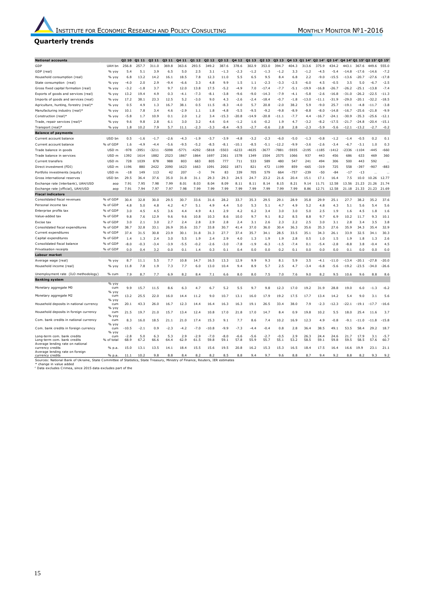# **Quarterly trends**

|                                                                                                                               |                      |                |               |             |             |             |                |                |                   |              |                |                |                |                  |                 |                 | $03.14^c$          |                             |                    |                    |                   |
|-------------------------------------------------------------------------------------------------------------------------------|----------------------|----------------|---------------|-------------|-------------|-------------|----------------|----------------|-------------------|--------------|----------------|----------------|----------------|------------------|-----------------|-----------------|--------------------|-----------------------------|--------------------|--------------------|-------------------|
| <b>National accounts</b>                                                                                                      |                      | <b>Q2 10</b>   | Q1 11         | Q2 11       | Q3 11       | Q4 11       | Q1 12          | Q2 12          | Q3 12             | Q4 12        | Q1 13          | Q2 13          | Q3 13          | Q4 13            | Q1 $14^{\circ}$ | Q2 $14^{\circ}$ |                    | Q4 14° Q1 15° Q2 15° Q3 15° |                    |                    |                   |
| GDP                                                                                                                           | UAH bn               | 256.8          | 257.7         | 311.0       | 369.8       | 363.6       | 293.5          | 349.2          | 387.6             | 378.6        | 302.9          | 353.0          | 394.7          | 404.3            | 313.6           | 375.9           | 434.2              | 443.1                       | 367.6              | 449.6              | 555.0             |
| GDP (real)<br>Household consumption (real)                                                                                    | % vov<br>$%$ voy     | 5.4<br>6.8     | 5.1<br>13.2   | 3.9<br>14.2 | 6.5<br>16.1 | 5.0<br>18.5 | 2.5<br>7.8     | 3.1<br>12.3    | $^{-1.3}$<br>11.0 | -2.3<br>5.5  | $-1.2$<br>6.5  | $-1.3$<br>9.5  | $-1.2$<br>8.4  | 3.3<br>6.8       | $-1.2$<br>2.2   | -4.5<br>$-9.0$  | $-5.4$<br>$-15.5$  | $-14.8$<br>$-13.6$          | -17.6<br>$-20.7$   | $-14.6$<br>$-27.6$ | $-7.2$<br>$-17.8$ |
|                                                                                                                               |                      | $-4.0$         |               | 2.9         | $-9.4$      | $-6.6$      | 3.3            | 4.8            | 9.9               | 1.5          | 1.1            | $-2.3$         | $-3.3$         | $-2.5$           | $-6.0$          | 4.5             | $-0.5$             | 3.5                         | 5.0                |                    | $-2.5$            |
| State consumption (real)                                                                                                      | % yoy<br>% vov       |                | 2.0<br>$-1.8$ | 3.7         | 9.7         | 12.0        | 13.8           | 17.5           |                   | $-4.9$       | 7.0            | $-17.4$        | $-7.7$         | $-5.1$           | $-19.9$         | $-16.8$         | $-26.7$            | $-26.2$                     | $-25.1$            | $-6.7$<br>$-13.8$  | $-7.4$            |
| Gross fixed capital formation (real)                                                                                          | % $\vee$ $\vee$      | $-3.2$<br>13.2 | 19.4          | 4.9         | 0.3         | $-4.1$      | $-7.3$         | $-8.1$         | $-5.2$<br>$-3.8$  | $-9.6$       | $-9.0$         | $-14.3$        | $-7.9$         | $-4.1$           | $-5.8$          | $-2.6$          | $-16.8$            | $-31.0$                     | $-26.2$            | $-22.5$            | $-11.3$           |
| Exports of goods and services (real)                                                                                          |                      |                | 38.1          | 23.3        |             |             |                |                |                   |              |                |                |                |                  |                 | $-11.1$         | $-31.9$            | $-29.0$                     | $-20.1$            |                    |                   |
| Imports of goods and services (real)                                                                                          | $%$ voy              | 17.2           |               |             | 12.5        | 5.2         | $-3.0$         | 9.0            | 4.3               | $-2.6$       | -2.4           | $-18.4$        | $-0.7$         | $-1.8$           | $-13.0$         |                 |                    |                             |                    | $-32.2$            | $-18.5$           |
| Agriculture, hunting, forestry (real)*                                                                                        | % vov                | 0.5            | 4.9           | 1.3         | 16.7        | 38.1        | 0.5            | 11.5           | $-8.3$            | $-4.0$       | 5.7            | 20.8           | $-2.0$         | 38.2             | 5.9             | $-9.0$          | 25.7               | $-19$                       | $-4.8$             | $-11.7$            | $-3.8$            |
| Manufacturing industry (real)*                                                                                                | % vov                | 10.1           | 7.8           | 3.4<br>10.9 | 4.6         | $-2.9$      | 1.1            | 1.8            | $-4.8$            | $-5.5$       | $-9.5$         | $-9.2$         | $-9.8$         | $-8.9$<br>$-7.7$ | $-8.8$          | $-8.0$          | $-14.8$<br>$-24.1$ | $-16.7$<br>$-30.9$          | $-25.6$<br>$-35.3$ | $-21.8$            | $-9.9$            |
| Construction (real)*                                                                                                          | $%$ voy              | $-5.8$<br>9.6  | 1.7           |             | 0.1         | 2.0         | 1.2            | 3.4            | $-15.3$           | $-20.8$      | $-14.9$        | $-20.8$        | $-11.1$        |                  | 4.4             | $-16.7$         | -17.5              | $-21.7$                     | $-24.8$            | $-25.6$            | $-12.1$           |
| Trade, repair services (real)*                                                                                                | % yoy                |                | 9.8           | 2.8         | 6.1         | 3.0         | 3.2            | 4.6            | 0.4               | $-1.2$       | 1.6            | $-0.2$         | 1.9            | 4.7              | $-3.2$          | $-8.2$          |                    |                             |                    | $-20.4$            | $-15.1$           |
| Transport (real)*                                                                                                             | % yoy                | 1.8            | 10.2          | 7.9         | 5.7         | 11.1        | $-2.3$         | $-3.3$         | $-8.4$            | $-9.5$       | $-2.7$         | $-0.6$         | 2.8            | 2.8              | $-2.3$          | $-5.9$          | $-5.6$             | -12.1                       | $-13.2$            | $-2.7$             | $-0.2$            |
| <b>Balance of payments</b>                                                                                                    |                      |                |               |             |             |             |                |                |                   |              |                |                |                |                  |                 |                 |                    |                             |                    |                    |                   |
| Current account balance                                                                                                       | USD bn               | 0.5            | $-1.6$        | $-1.7$      | $-2.6$      | $-4.3$      | $-1.9$         | $-3.7$         | $-3.9$            | $-4.8$       | $-3.2$         | $-2.3$         | $-6.0$         | $-5.0$           | $-1.3$          | $-0.8$          | $-1.2$             | $-1.4$                      | $-0.5$             | 0.2                | 0.1               |
| Current account balance                                                                                                       | % of GDP             | 1.6            | $-4.9$        | $-4.4$      | $-5.6$      | $-9.5$      | $-5.2$         | $-8.5$         | $-8.1$            | $-10.1$      | $-8.5$         | $-5.1$         | $-12.2$        | $-9.9$           | $-3.6$          | $-2.6$          | $-3.4$             | $-6.7$                      | $-3.1$             | 1.0                | 0.3               |
| Trade balance in goods                                                                                                        | USD m                | -978           | -3951         | -3211       | -5098       | -5771       | 4292           | -5818          | 5503              | -6233        | -4635          | $-3677$        | -7881          | -5935            | $-2195$         | -1185           | 1412               | 2336                        | $-1104$            | -445               | -660              |
| Trade balance in services                                                                                                     | USD <sub>m</sub>     | 1392           | 1614          | 1882        | 2523        | 1867        | 1864           | 1697           | 2361              | 1578         | 1349           | 1504           | 2575           | 1066             | 937             | 443             | 456                | 686                         | 633                | 469                | 360               |
| Current transfers                                                                                                             | USD <sub>m</sub>     | 728            | 1039          | 878         | 988         | 803         | 683            | 805            | 777               | 711          | 533            | 589            | 480            | 547              | 241             | 494             | 306                | 500                         | 443                | 592                |                   |
| Direct investment (FDI)                                                                                                       | USD m                | 1196           | 880           | 2422        | 2090        | 1623        | 1663           | 1091           | 2002              | 1871         | 821            | 472            | 1199           | 859              | $-665$          | -319            | 725                | 558                         | -397               | -907               | $-883$            |
| Portfolio investments (equity)                                                                                                | USD <sub>m</sub>     | $-18$          | 149           | 113         | 42          | 207         | $-3$           | 74             | 83                | 339          | 705            | 579            | 664            | $-757$           | $-239$          | $-50$           | $-84$              | $-17$                       | $-13$              |                    | $\sim$            |
| Gross international reserves                                                                                                  | USD bn               | 29.5           | 36.4          | 37.6        | 35.0        | 31.8        | 31.1           | 29.3           | 29.3              | 24.5         | 24.7           | 23.2           | 21.6           | 20.4             | 15.1            | 17.1            | 16.4               | 7.5                         | 10.0               | 10.26              | 12.77             |
| Exchange rate (interbank), UAH/USD                                                                                            | aop                  | 7.91           | 7.95          | 7.98        | 7.99        | 8.01        | 8.03           | 8.04           | 8.09              | 8.11         | 8.11           | 8.14           | 8.15           | 8.21             | 9.14            | 11.71           | 12.58              | 13.56                       | 21.23              | 21.26              | 21.74             |
| Exchange rate (official), UAH/USD                                                                                             | aop                  | 7.91           | 7.94          | 7.97        | 7.97        | 7.98        | 7.99           | 7.99           | 7.99              | 7.99         | 7.99           | 7.99           | 7.99           | 7.99             | 8.86            | 12.71           | 12.58              | 21.18                       | 21.33              | 21.23              | 21.69             |
| <b>Fiscal indicators</b>                                                                                                      |                      |                |               |             |             |             |                |                |                   |              |                |                |                |                  |                 |                 |                    |                             |                    |                    |                   |
| Consolidated fiscal revenues                                                                                                  | % of GDP             | 30.4           | 32.8          | 30.0        | 29.5        | 30.7        | 33.6           | 31.6           | 28.2              | 33.7         | 35.3           | 29.5           | 29.1           | 28.9             | 35.8            | 29.9            | 25.1               | 27.7                        | 38.2               | 35.2               | 37.6              |
| Personal income tax                                                                                                           | % of GDP             | 4.8            | 5.0           | 4.8         | 4.2         | 4.7         | 5.1            | 4.9            | 4.4               | 5.0          | 5.3            | 5.1            | 4.7            | 4.9              | 5.2             | 4.8             | 4.3                | 5.1                         | 5.6                | 5.4                | 5.6               |
| Enterprise profits tax                                                                                                        | % of GDP             | 3.0            | 4.5           | 4.5         | 3.6         | 4.4         | 4.9            | 4.1            | 2.9               | 4.2          | 6.2            | 3.4            | 3.0            | 3.0              | 5.0             | 2.5             | 1.9                | 1.6                         | 4.5                | 1.8                | 1.6               |
| Value-added tax                                                                                                               | % of GDP             | 9.8            | 7.6           | 12.9        | 9.6         | 9.6         | 10.8           | 10.3           | 8.6               | 10.0         | 9.7            | 9.1            | 8.2            | 8.5              | 8.8             | 9.7             | 6.9                | 10.2                        | 11.7               | 9.3                | 10.1              |
| Excise tax                                                                                                                    | % of GDP             | 3.0            | 2.1           | 3.0         | 2.7         | 2.4         | 2.8            | 2.9            | 2.8               | 2.4          | 3.1            | 2.6            | 2.3            | 2.2              | 2.5             | 3.0             | 3.1                | 2.8                         | 3.4                | 3.5                | 3.8               |
| Consolidated fiscal expenditures                                                                                              | % of GDP<br>% of GDP | 38.7           | 32.8          | 33.1        | 26.9        | 35.6        | 33.7           | 33.8           | 30.7              | 41.4         | 37.0           | 36.0           | 30.4           | 36.3             | 35.6            | 35.3            | 27.6               | 35.9                        | 34.3               | 35.4               | 32.9              |
| Current expenditures                                                                                                          |                      | 37.4           | 31.5          | 30.8        | 23.9        | 30.1        | 31.8           | 31.3           | 27.7              | 37.4         | 35.7           | 34.1           | 28.5           | 33.5             | 35.1            | 34.3            | 26.1               | 33.9                        | 32.5               | 34.1               | 30.3              |
| Capital expenditures                                                                                                          | % of GDP             | 1.4            | 1.3           | 2.4         | 3.0         | 5.5         | 1.9            | 2.4            | 2.9               | 4.0          | 1.3            | 1.9            | 1.9            | 2.8              | 0.5             | 1.0             | 1.5                | 1.9                         | 1.8                | 1.3                | 2.6               |
| Consolidated fiscal balance                                                                                                   | % of GDP             | $-8.0$         | $-0.3$        | $-3.4$      | $-3.9$      | $-5.5$      | $-0.2$         | $-2.6$         | $-3.0$            | $-7.8$       | $-1.9$         | $-6.3$         | $-1.5$         | $-7.4$           | 0.1             | $-5.4$          | $-2.8$             | $-8.8$                      | 3.8                | $-0.4$             | 4.5               |
| Privatisation receipts                                                                                                        | % of GDP             | 0.0            | 0.4           | 3.2         | 0.0         | 0.1         | 1.4            | 0.3            | 0.1               | 0.4          | 0.0            | 0.0            | 0.2            | 0.1              | 0.0             | 0.0             | 0.0                | 0.1                         | 0.0                | 0.0                | 0.0               |
| Labour market                                                                                                                 |                      |                |               |             |             |             |                |                |                   |              |                |                |                |                  |                 |                 |                    |                             |                    |                    |                   |
| Average wage (real)                                                                                                           | % vov                | 8.7            | 11.1          | 5.5         | 7.7         | 10.8        | 14.7           | 16.5           | 13.3              | 12.9         | 9.9            | 9.3            | 8.1            | 5.9              | 3.5             | $-4.1$          | $-11.0$            | $-13.4$                     | $-20.1$            | $-27.8$            | $-20.0$           |
| Household income (real)                                                                                                       | % yoy                | 11.8           | 7.8           | 1.9         | 7.3         | 7.7         | $6.0$          | 13.0           | 10.4              | 9.4          | 8.9            | 5.7            | 2.5            | 4.7              | -3.4            | $-6.8$          | $-5.6$             | -19.2                       | -23.5              | $-34.0$            | -26.6             |
| Unemployment rate (ILO methodology)                                                                                           | % cum                | 7.9            | 8.7           | 7.7         | 6.9         | 8.2         | 8.4            | 7.1            | 6.6               | 8.0          | 8.0            | 7.5            | 7.0            | 7.6              | 9.0             | 8.2             | 9.5                | 10.6                        | 9.6                | 8.8                | 8.6               |
| <b>Banking system</b>                                                                                                         |                      |                |               |             |             |             |                |                |                   |              |                |                |                |                  |                 |                 |                    |                             |                    |                    |                   |
|                                                                                                                               | $%$ yoy              |                |               |             |             |             |                |                |                   |              |                |                |                |                  |                 |                 |                    |                             |                    |                    |                   |
| Monetary aggregate M0                                                                                                         | cum<br>% yoy         | 9.9            | 15.7          | 11.5        | 8.6         | 6.3         | 4.7            | 6.7            | 5.2               | 5.5          | 9.7            | 9.8            | 12.3           | 17.0             | 19.2            | 31.9            | 28.8               | 19.0                        | 6.0                | $-1.3$             | $-6.2$            |
| Monetary aggregate M2                                                                                                         | cum                  | 13.2           | 25.5          | 22.0        | 16.0        | 14.4        | 11.2           | 9.0            | 10.7              | 13.1         | 16.0           | 17.9           | 19.2           | 17.5             | 17.7            | 13.4            | 14.2               | 5.4                         | 9.0                | 3.1                | 5.6               |
| Household deposits in national currency                                                                                       | % yoy<br>cum         | 20.1           | 43.3          | 26.0        |             |             | 14.4           |                |                   | 16.3         | 19.1           |                | 33.4           | 38.0             | 7.9             | $-2.3$          | $-12.3$            | $-22.1$                     | $-19.1$            | $-17.7$            | $-16.6$           |
|                                                                                                                               | % yoy                |                |               |             | 16.7        | 12.3        |                | 16.4           | 16.3              |              |                | 26.5           |                |                  |                 |                 |                    |                             |                    |                    |                   |
| Household deposits in foreign currency                                                                                        | cum                  | 21.5           | 19.7          | 21.0        | 15.7        | 13.4        | 12.4           | 10.8           | 17.0              | 21.8         | 17.0           | 14.7           | 8.4            | 0.9              | 19.8            | 10.2            | 5.5                | 18.0                        | 25.4               | 11.6               | 3.7               |
| Com. bank credits in national currency                                                                                        | % yoy<br>cum         | 8.3            | 16.0          | 18.5        | 21.1        | 21.0        | 17.4           | 15.3           | 9.1               | 7.7          | 8.6            | 7.4            | 10.2           | 16.9             | 12.3            | 4.9             | $-0.8$             | $-9.1$                      | $-11.0$            | $-11.8$            | $-15.8$           |
|                                                                                                                               | % yoy                |                |               |             |             |             |                |                |                   |              |                |                |                |                  |                 |                 |                    |                             |                    |                    |                   |
| Com. bank credits in foreign currency                                                                                         | cum<br>% yoy         | -10.5          | $-2.1$        | 0.9         | $-2.3$      | $-4.2$      | $-7.0$         | $-10.8$        | $-9.9$            | $-7.3$       | $-4.4$         | $-0.4$         | 0.8            | 2.8              | 36.4            | 38.5            | 49.1               | 53.5                        | 58.4               | 29.2               | 18.7              |
| Long-term com. bank credits<br>Long-term com. bank credits<br>Average lending rate on national                                | cum<br>% of total    | $-2.8$<br>68.9 | 5.0<br>67.2   | 6.3<br>66.6 | 5.3<br>64.4 | 2.9<br>62.9 | $-2.9$<br>61.5 | $-7.0$<br>59.8 | $-8.0$<br>59.1    | -6.6<br>57.8 | $-5.6$<br>55.9 | $-2.7$<br>55.7 | $-0.5$<br>55.1 | 2.9<br>53.2      | 26.3<br>58.5    | 24.4<br>59.1    | 24.6<br>59.8       | 21.7<br>59.5                | 17.9<br>58.5       | 3.1<br>57.6        | $-5.7$<br>60.7    |
| currency credits                                                                                                              | % p.a.               | 15.0           | 13.1          | 13.5        | 14.1        | 18.4        | 15.5           | 15.6           | 19.5              | 20.8         | 16.2           | 15.3           | 15.3           | 16.5             | 18.4            | 17.5            | 16.4               | 16.6                        | 19.9               | 23.1               | 21.1              |
| Average lending rate on foreign<br>currency credits                                                                           | % p.a                | 11             | 1 ດ :         | Q R         | яя          |             | 8.1            | 85             | 85                | 8.8          | $Q$ $\Delta$   | Q <sub>7</sub> | 9.6            | 8.8              | 8.7             | $Q$ $d$         | 92                 | 8.8                         | 82                 | 9.3                | 9.2               |
| Sources: National Bank of Ukraine, State Committee of Statistics, State Treasury, Ministry of Finance, Reuters, IER estimates |                      |                |               |             |             |             |                |                |                   |              |                |                |                |                  |                 |                 |                    |                             |                    |                    |                   |
| * change in value added<br>Data excludes Crimea, since 2015 data excludes part of the                                         |                      |                |               |             |             |             |                |                |                   |              |                |                |                |                  |                 |                 |                    |                             |                    |                    |                   |